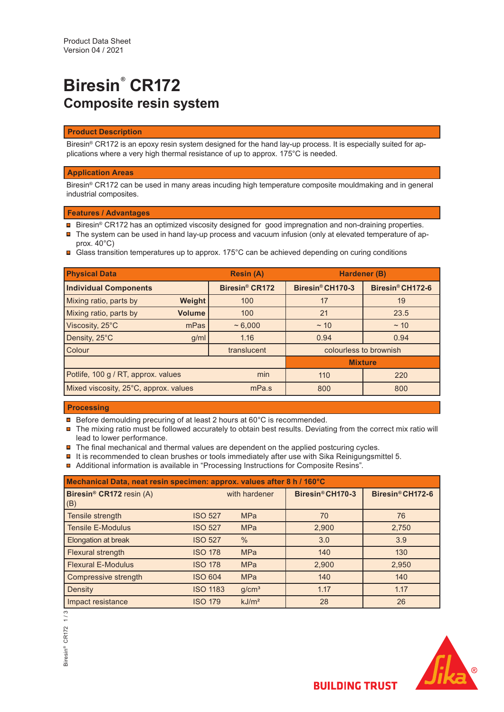# **Biresin® CR172 Composite resin system**

#### **Product Description**

Biresin<sup>®</sup> CR172 is an epoxy resin system designed for the hand lay-up process. It is especially suited for applications where a very high thermal resistance of up to approx. 175°C is needed.

#### **Application Areas**

Biresin® CR172 can be used in many areas incuding high temperature composite mouldmaking and in general industrial composites.

#### **Features / Advantages**

- Biresin® CR172 has an optimized viscosity designed for good impregnation and non-draining properties.
- $\blacksquare$  The system can be used in hand lay-up process and vacuum infusion (only at elevated temperature of approx. 40°C)
- Glass transition temperatures up to approx. 175°C can be achieved depending on curing conditions

| <b>Physical Data</b>                  |               | <b>Resin (A)</b>           | Hardener (B)                 |                              |
|---------------------------------------|---------------|----------------------------|------------------------------|------------------------------|
| <b>Individual Components</b>          |               | Biresin <sup>®</sup> CR172 | Biresin <sup>®</sup> CH170-3 | Biresin <sup>®</sup> CH172-6 |
| Mixing ratio, parts by                | <b>Weight</b> | 100                        | 17                           | 19                           |
| Mixing ratio, parts by                | <b>Volume</b> | 100                        | 21                           | 23.5                         |
| Viscosity, 25°C                       | mPas          | ~1000                      | $~\sim$ 10                   | $~\sim$ 10                   |
| Density, 25°C                         | g/ml          | 1.16                       | 0.94                         | 0.94                         |
| Colour                                |               | translucent                | colourless to brownish       |                              |
|                                       |               | <b>Mixture</b>             |                              |                              |
| Potlife, 100 g / RT, approx. values   |               | min                        | 110                          | 220                          |
| Mixed viscosity, 25°C, approx. values |               | mPa.s                      | 800                          | 800                          |

### **Processing**

- **□** Before demoulding precuring of at least 2 hours at 60°C is recommended.
- $\blacksquare$  The mixing ratio must be followed accurately to obtain best results. Deviating from the correct mix ratio will lead to lower performance.
- $\blacksquare$  The final mechanical and thermal values are dependent on the applied postcuring cycles.
- $\blacksquare$  It is recommended to clean brushes or tools immediately after use with Sika Reinigungsmittel 5.
- Additional information is available in "Processing Instructions for Composite Resins".

| Mechanical Data, neat resin specimen: approx. values after 8 h / 160°C |                 |                   |                  |                  |  |  |
|------------------------------------------------------------------------|-----------------|-------------------|------------------|------------------|--|--|
| Biresin <sup>®</sup> CR172 resin (A)<br>(B)                            |                 | with hardener     | Biresin® CH170-3 | Biresin® CH172-6 |  |  |
| Tensile strength                                                       | <b>ISO 527</b>  | <b>MPa</b>        | 70               | 76               |  |  |
| <b>Tensile E-Modulus</b>                                               | <b>ISO 527</b>  | <b>MPa</b>        | 2,900            | 2,750            |  |  |
| Elongation at break                                                    | <b>ISO 527</b>  | $\%$              | 3.0              | 3.9              |  |  |
| <b>Flexural strength</b>                                               | <b>ISO 178</b>  | <b>MPa</b>        | 140              | 130              |  |  |
| <b>Flexural E-Modulus</b>                                              | <b>ISO 178</b>  | <b>MPa</b>        | 2,900            | 2,950            |  |  |
| Compressive strength                                                   | <b>ISO 604</b>  | <b>MPa</b>        | 140              | 140              |  |  |
| Density                                                                | <b>ISO 1183</b> | g/cm <sup>3</sup> | 1.17             | 1.17             |  |  |
| Impact resistance                                                      | <b>ISO 179</b>  | kJ/m <sup>2</sup> | 28               | 26               |  |  |



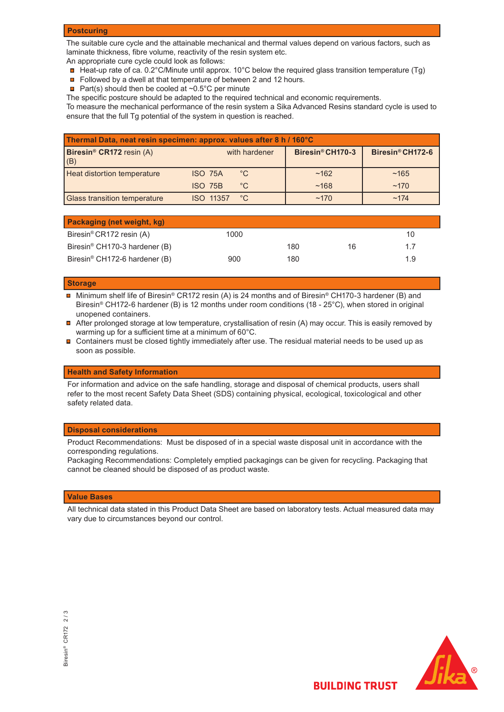#### **Postcuring**

The suitable cure cycle and the attainable mechanical and thermal values depend on various factors, such as laminate thickness, fibre volume, reactivity of the resin system etc.

An appropriate cure cycle could look as follows:

- Heat-up rate of ca. 0.2°C/Minute until approx. 10°C below the required glass transition temperature (Tg)
- Followed by a dwell at that temperature of between 2 and 12 hours.
- **Part(s)** should then be cooled at  $\sim 0.5^{\circ}$ C per minute

The specific postcure should be adapted to the required technical and economic requirements.

To measure the mechanical performance of the resin system a Sika Advanced Resins standard cycle is used to ensure that the full Tg potential of the system in question is reached.

| Thermal Data, neat resin specimen: approx. values after 8 h / 160°C |                                  |                              |                              |  |  |  |
|---------------------------------------------------------------------|----------------------------------|------------------------------|------------------------------|--|--|--|
| Biresin <sup>®</sup> CR172 resin (A)<br>(B)                         | with hardener                    | Biresin <sup>®</sup> CH170-3 | Biresin <sup>®</sup> CH172-6 |  |  |  |
| <b>Heat distortion temperature</b>                                  | $^{\circ}$ C<br><b>ISO 75A</b>   | ~162                         | ~165                         |  |  |  |
|                                                                     | $^{\circ}$ C<br><b>ISO 75B</b>   | ~168                         | ~170                         |  |  |  |
| <b>Glass transition temperature</b>                                 | $^{\circ}$ C<br><b>ISO 11357</b> | ~170                         | ~174                         |  |  |  |

| Packaging (net weight, kg)                |      |     |    |     |
|-------------------------------------------|------|-----|----|-----|
| Biresin <sup>®</sup> CR172 resin (A)      | 1000 |     |    | 10  |
| Biresin <sup>®</sup> CH170-3 hardener (B) |      | 180 | 16 | 17  |
| Biresin <sup>®</sup> CH172-6 hardener (B) | 900  | 180 |    | 1.9 |

#### **Storage**

 Minimum shelf life of Biresin® CR172 resin (A) is 24 months and of Biresin® CH170-3 hardener (B) and Biresin® CH172-6 hardener (B) is 12 months under room conditions (18 - 25°C), when stored in original unopened containers.

- After prolonged storage at low temperature, crystallisation of resin (A) may occur. This is easily removed by warming up for a sufficient time at a minimum of 60°C.
- $\blacksquare$ Containers must be closed tightly immediately after use. The residual material needs to be used up as soon as possible.

#### **Health and Safety Information**

For information and advice on the safe handling, storage and disposal of chemical products, users shall refer to the most recent Safety Data Sheet (SDS) containing physical, ecological, toxicological and other safety related data.

#### **Disposal considerations**

Product Recommendations: Must be disposed of in a special waste disposal unit in accordance with the corresponding regulations.

Packaging Recommendations: Completely emptied packagings can be given for recycling. Packaging that cannot be cleaned should be disposed of as product waste.

#### **Value Bases**

All technical data stated in this Product Data Sheet are based on laboratory tests. Actual measured data may vary due to circumstances beyond our control.